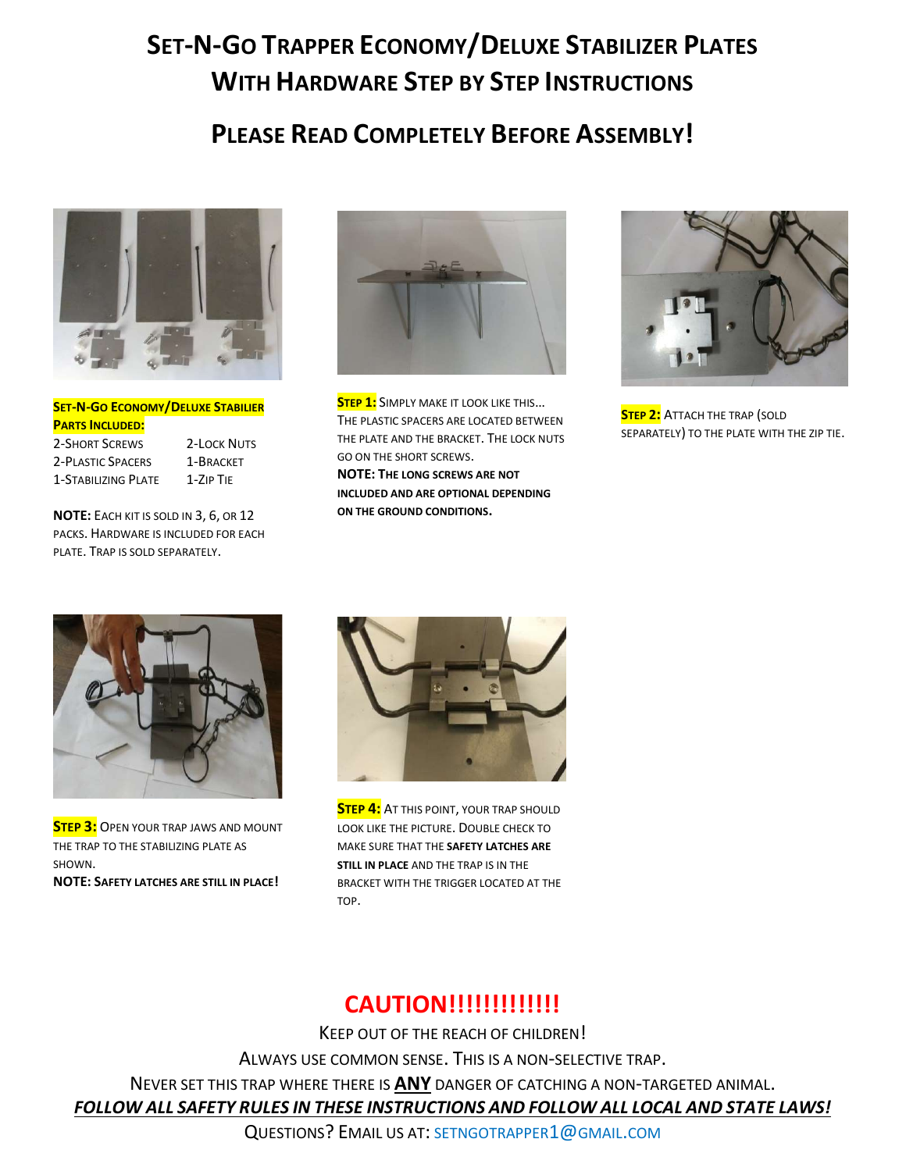# SET-N-GO TRAPPER ECONOMY/DELUXE STABILIZER PLATES WITH HARDWARF STFP BY STFP INSTRUCTIONS

## PLEASE READ COMPLETELY BEFORE ASSEMBLY!



**SET-N-GO ECONOMY/DELUXE STABILIER** PARTS INCLUDED: 2-SHORT SCREWS 2-LOCK NUTS

2-PLASTIC SPACERS 1-BRACKET 1-STABILIZING PLATE 1-ZIP TIE

NOTE: EACH KIT IS SOLD IN 3, 6, OR 12 PACKS. HARDWARE IS INCLUDED FOR EACH PLATE. TRAP IS SOLD SEPARATELY.



**STEP 1:** SIMPLY MAKE IT LOOK LIKE THIS... THE PLASTIC SPACERS ARE LOCATED BETWEEN THE PLATE AND THE BRACKET. THE LOCK NUTS GO ON THE SHORT SCREWS. NOTE: THE LONG SCREWS ARE NOT INCLUDED AND ARE OPTIONAL DEPENDING ON THE GROUND CONDITIONS.



**STEP 2:** ATTACH THE TRAP (SOLD SEPARATELY) TO THE PLATE WITH THE ZIP TIE.



**STEP 3:** OPEN YOUR TRAP JAWS AND MOUNT THE TRAP TO THE STABILIZING PLATE AS SHOWN. NOTE: SAFETY LATCHES ARE STILL IN PLACE!



**STEP 4:** AT THIS POINT, YOUR TRAP SHOULD LOOK LIKE THE PICTURE. DOUBLE CHECK TO MAKE SURE THAT THE SAFETY LATCHES ARE STILL IN PLACE AND THE TRAP IS IN THE BRACKET WITH THE TRIGGER LOCATED AT THE TOP.

### **CAUTION!!!!!!!!!!!!!!**

KEEP OUT OF THE REACH OF CHILDREN! ALWAYS USE COMMON SENSE. THIS IS A NON-SELECTIVE TRAP. NEVER SET THIS TRAP WHERE THERE IS ANY DANGER OF CATCHING A NON-TARGETED ANIMAL. FOLLOW ALL SAFETY RULES IN THESE INSTRUCTIONS AND FOLLOW ALL LOCAL AND STATE LAWS!

QUESTIONS? EMAIL US AT: SETNGOTRAPPER1@GMAIL.COM